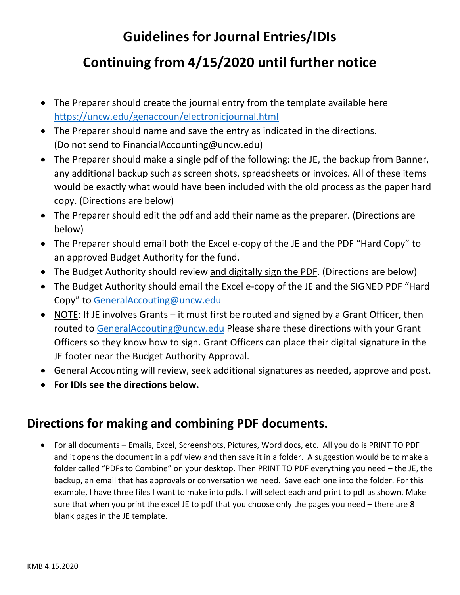## **Guidelines for Journal Entries/IDIs**

## **Continuing from 4/15/2020 until further notice**

- The Preparer should create the journal entry from the template available here https://uncw.edu/genaccoun/electronicjournal.html
- The Preparer should name and save the entry as indicated in the directions. (Do not send to FinancialAccounting@uncw.edu)
- The Preparer should make a single pdf of the following: the JE, the backup from Banner, any additional backup such as screen shots, spreadsheets or invoices. All of these items would be exactly what would have been included with the old process as the paper hard copy. (Directions are below)
- The Preparer should edit the pdf and add their name as the preparer. (Directions are below)
- The Preparer should email both the Excel e-copy of the JE and the PDF "Hard Copy" to an approved Budget Authority for the fund.
- The Budget Authority should review and digitally sign the PDF. (Directions are below)
- The Budget Authority should email the Excel e-copy of the JE and the SIGNED PDF "Hard Copy" to GeneralAccouting@uncw.edu
- NOTE: If JE involves Grants it must first be routed and signed by a Grant Officer, then routed to GeneralAccouting@uncw.edu Please share these directions with your Grant Officers so they know how to sign. Grant Officers can place their digital signature in the JE footer near the Budget Authority Approval.
- General Accounting will review, seek additional signatures as needed, approve and post.
- **For IDIs see the directions below.**

### **Directions for making and combining PDF documents.**

 For all documents – Emails, Excel, Screenshots, Pictures, Word docs, etc. All you do is PRINT TO PDF and it opens the document in a pdf view and then save it in a folder. A suggestion would be to make a folder called "PDFs to Combine" on your desktop. Then PRINT TO PDF everything you need – the JE, the backup, an email that has approvals or conversation we need. Save each one into the folder. For this example, I have three files I want to make into pdfs. I will select each and print to pdf as shown. Make sure that when you print the excel JE to pdf that you choose only the pages you need – there are 8 blank pages in the JE template.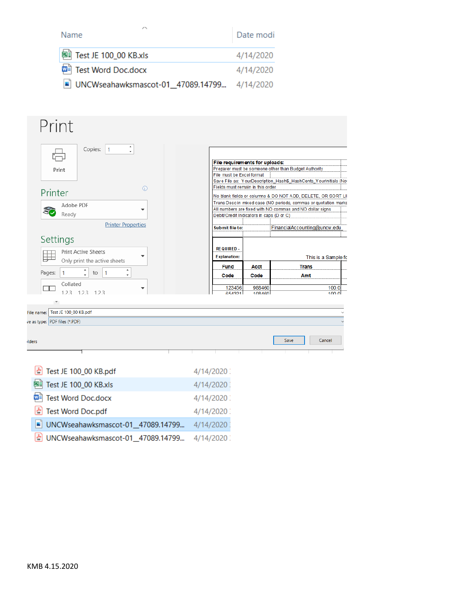| Name                                          | Date modi |
|-----------------------------------------------|-----------|
| 图 Test JE 100_00 KB.xls                       | 4/14/2020 |
| <b>[a]</b> Test Word Doc.docx                 | 4/14/2020 |
| ■ UNCWseahawksmascot-01_47089.14799 4/14/2020 |           |

| Print                                   |         |                                          |        |                                                                 |  |
|-----------------------------------------|---------|------------------------------------------|--------|-----------------------------------------------------------------|--|
| Copies:<br>$\vert$ 1                    |         |                                          |        |                                                                 |  |
|                                         |         | File requirements for uploads:           |        |                                                                 |  |
| Print                                   |         |                                          |        | Preparer must be someone other than Budget Authority            |  |
|                                         |         | File must be Excel format                |        |                                                                 |  |
|                                         |         |                                          |        | Save File as: YourDescription_Hash\$_HashCents_YourInitials (No |  |
| Printer                                 | $\odot$ | Fields must remain in this order         |        |                                                                 |  |
|                                         |         |                                          |        | No blank fields or columns & DO NOT ADD, DELETE, OR SORT LI     |  |
| Adobe PDF                               |         |                                          |        | Trans Desc in mixed case (NO periods, commas or quotation marks |  |
| SO                                      |         |                                          |        | All numbers are fixed with NO commas and NO dollar signs        |  |
| Ready                                   |         | Debit/Credit Indicators in caps (D or C) |        |                                                                 |  |
|                                         |         |                                          |        |                                                                 |  |
| <b>Printer Properties</b>               |         | Submit file to:                          |        | FinancialAccounting@uncw.edu                                    |  |
|                                         |         |                                          |        |                                                                 |  |
| Settings                                |         |                                          |        |                                                                 |  |
|                                         |         | <b>REQUIRED-</b>                         |        |                                                                 |  |
| <b>Print Active Sheets</b>              |         |                                          |        |                                                                 |  |
| Only print the active sheets            |         | <b>Explanation:</b>                      |        | This is a Sample fo                                             |  |
|                                         |         | Fund                                     | Acct   | <b>Trans</b>                                                    |  |
| $\hat{\cdot}$<br>Pages:<br>1<br>to<br>1 |         | Code                                     | Code   | Amt                                                             |  |
|                                         |         |                                          |        |                                                                 |  |
| Collated                                |         | 123456                                   | 988460 | 100.0                                                           |  |
| 123 123 123                             |         | 654321                                   | 108460 | 100 $0$                                                         |  |
|                                         |         |                                          |        |                                                                 |  |
|                                         |         |                                          |        |                                                                 |  |
| ile name: Test JE 100_00 KB.pdf         |         |                                          |        |                                                                 |  |
| e as type: PDF files (*.PDF)            |         |                                          |        |                                                                 |  |
|                                         |         |                                          |        |                                                                 |  |
|                                         |         |                                          |        |                                                                 |  |
| ders                                    |         |                                          |        | Cancel<br>Save                                                  |  |
|                                         |         |                                          |        |                                                                 |  |
|                                         |         |                                          |        |                                                                 |  |
|                                         |         |                                          |        |                                                                 |  |
|                                         |         |                                          |        |                                                                 |  |
| Test JE 100_00 KB.pdf                   |         | 4/14/2020                                |        |                                                                 |  |
|                                         |         |                                          |        |                                                                 |  |
| Test JE 100_00 KB.xls<br>國語             |         | 4/14/2020                                |        |                                                                 |  |
|                                         |         |                                          |        |                                                                 |  |
| <b>Test Word Doc.docx</b><br>w≣         |         | 4/14/2020                                |        |                                                                 |  |
|                                         |         |                                          |        |                                                                 |  |
| <b>Test Word Doc.pdf</b>                |         | 4/14/2020                                |        |                                                                 |  |
|                                         |         |                                          |        |                                                                 |  |
| UNCWseahawksmascot-01_47089.14799<br>피  |         | 4/14/2020                                |        |                                                                 |  |
|                                         |         |                                          |        |                                                                 |  |
|                                         |         |                                          |        |                                                                 |  |

MOWseahawksmascot-01\_47089.14799... 4/14/2020

d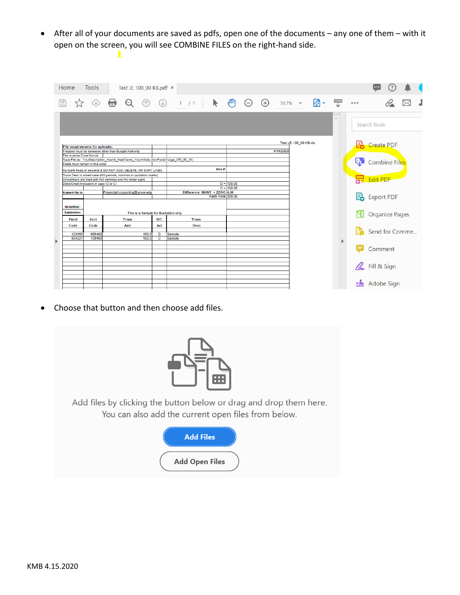After all of your documents are saved as pdfs, open one of the documents – any one of them – with it open on the screen, you will see COMBINE FILES on the right-hand side.

| $\frac{nm}{L}$<br>k<br>岡<br>$\mathcal{L}_{\text{L}}$<br>$\odot$<br>$\left( +\right)$<br>$(\downarrow)$<br>1/1<br>$(\uparrow)$<br>$(-)$<br>59.7% *<br>000<br>(4)<br>$\wedge$ |  |
|-----------------------------------------------------------------------------------------------------------------------------------------------------------------------------|--|
|                                                                                                                                                                             |  |
| Search tools                                                                                                                                                                |  |
|                                                                                                                                                                             |  |
| Test JE 100 00 KB.xls<br><b>Create PDF</b>                                                                                                                                  |  |
| File requirements for uploads:<br>4/14/2020<br>Preparer must be someone other than Budget Authority                                                                         |  |
| File must be Excel format                                                                                                                                                   |  |
| Save File as: YourDescription_Hash\$_HashCents_YourInitials (NovPacsCharge_250_00_JS)<br>L)<br>Combine Files<br>Fields must remain in this order                            |  |
| Doc#:                                                                                                                                                                       |  |
| No blank fields or columns & DO NOT ADD, DELETE, OR SORT LINES<br>Trans Desc in mixed case (NO periods, commas or quotation marks)                                          |  |
| <b>Re</b> Edit PDF<br>All numbers are fixed with NO commas and NO dollar signs                                                                                              |  |
| $D = 100.00$<br>Debit/Credit Indicators in caps (D or C)                                                                                                                    |  |
| $C = 100.00$                                                                                                                                                                |  |
| Difference MUST = ZERO 0.00<br>FinancialAccounting@uncw.edu<br>Submit file to:                                                                                              |  |
| Export PDF<br>Hash Total 200.00                                                                                                                                             |  |
| <b>REQUIRED</b>                                                                                                                                                             |  |
|                                                                                                                                                                             |  |
| <b>Explanation:</b><br>Crganize Pages<br>This is a Sample for illustration only.                                                                                            |  |
| D/C<br>Fund<br><b>Trans</b><br><b>Trans</b><br>Acct                                                                                                                         |  |
| Code<br>Code<br>Ind<br>Amt<br><b>Desc</b>                                                                                                                                   |  |
| Send for Comme<br>123456<br>988460                                                                                                                                          |  |
| 100.<br>D<br>Sample<br>654321<br>108460<br>100.0<br>c<br>Sample                                                                                                             |  |
| Þ                                                                                                                                                                           |  |
| Comment                                                                                                                                                                     |  |
|                                                                                                                                                                             |  |
|                                                                                                                                                                             |  |
|                                                                                                                                                                             |  |
| <b>A</b> Fill & Sign                                                                                                                                                        |  |
|                                                                                                                                                                             |  |
|                                                                                                                                                                             |  |
| xle Adobe Sign                                                                                                                                                              |  |

Choose that button and then choose add files.

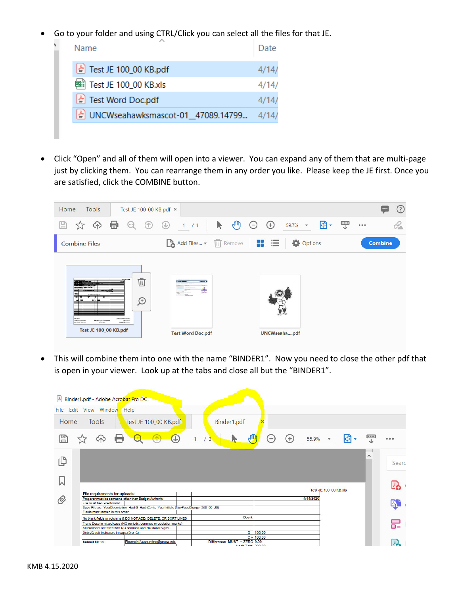Go to your folder and using CTRL/Click you can select all the files for that JE.

| Name                                                           | Date  |
|----------------------------------------------------------------|-------|
| $\left\lfloor \frac{1}{n} \right\rfloor$ Test JE 100_00 KB.pdf | 4/14/ |
| 图 Test JE 100_00 KB.xls                                        | 4/14/ |
| $\left\lfloor \frac{1}{n} \right\rfloor$ Test Word Doc.pdf     | 4/14  |
| 소 UNCWseahawksmascot-01_47089.14799                            |       |
|                                                                |       |

 Click "Open" and all of them will open into a viewer. You can expand any of them that are multi‐page just by clicking them. You can rearrange them in any order you like. Please keep the JE first. Once you are satisfied, click the COMBINE button.



 This will combine them into one with the name "BINDER1". Now you need to close the other pdf that is open in your viewer. Look up at the tabs and close all but the "BINDER1".

|      | 4 Binder1.pdf - Adobe Acrobat Pro DC     |                                                                                       |                               |                              |                                                         |           |                       |          |       |
|------|------------------------------------------|---------------------------------------------------------------------------------------|-------------------------------|------------------------------|---------------------------------------------------------|-----------|-----------------------|----------|-------|
|      | File Edit View Window Help               |                                                                                       |                               |                              |                                                         |           |                       |          |       |
| Home | Tools                                    | Test JE 100_00 KB.pdf                                                                 | Binder1.pdf                   |                              |                                                         |           |                       |          |       |
| ⊞    | e<br>ረትን                                 | $\cdot$ $\circ$<br>$\circledast$                                                      | $\overline{3}$                |                              | $\left( \begin{smallmatrix} +\end{smallmatrix} \right)$ | 55.9%     | $\mathbf{v}$          | ÷        |       |
| பி   |                                          |                                                                                       |                               |                              |                                                         |           |                       | $\wedge$ | Searc |
| W    |                                          |                                                                                       |                               |                              |                                                         |           | Test JE 100 00 KB.xls |          |       |
|      | File requirements for uploads:           |                                                                                       |                               |                              |                                                         |           |                       |          |       |
| O)   | File must be Excel format                | Preparer must be someone other than Budget Authority                                  |                               |                              |                                                         | 4/14/2020 |                       |          |       |
|      |                                          | Save File as: YourDescription_Hash\$_HashCents_YourInitials (NovPacsCharge_250_00_JS) |                               |                              |                                                         |           |                       |          | q,    |
|      | Fields must remain in this order         |                                                                                       |                               |                              |                                                         |           |                       |          |       |
|      |                                          | No blank fields or columns & DO NOT ADD, DELETE, OR SORT LINES                        |                               | Doc#:                        |                                                         |           |                       |          |       |
|      |                                          | Trans Desc in mixed case (NO periods, commas or quotation marks)                      |                               |                              |                                                         |           |                       |          | ᆴ     |
|      |                                          | All numbers are fixed with NO commas and NO dollar signs                              |                               |                              |                                                         |           |                       |          |       |
|      | Debit/Credit Indicators in caps (D or C) |                                                                                       |                               | $D = 100.00$<br>$C = 100.00$ |                                                         |           |                       |          |       |
|      | Submit file to:                          | FinancialAccounting@uncw.edu                                                          | Difference $MUST = ZERO 0.00$ |                              |                                                         |           |                       |          |       |
|      |                                          |                                                                                       |                               | Heels Tatel 200.00           |                                                         |           |                       |          | 囚     |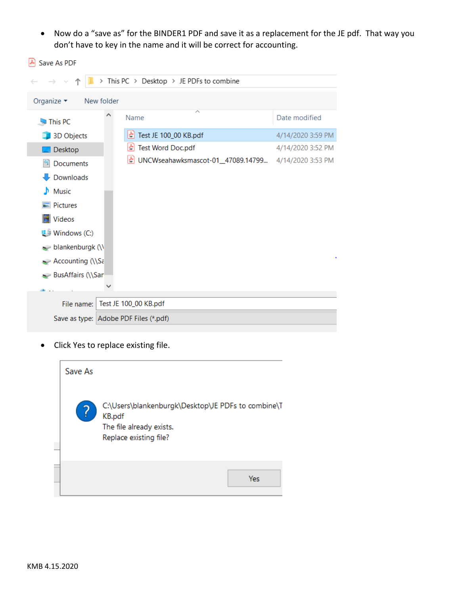• Now do a "save as" for the BINDER1 PDF and save it as a replacement for the JE pdf. That way you don't have to key in the name and it will be correct for accounting.

|                                              | > This PC > Desktop > JE PDFs to combine |                   |
|----------------------------------------------|------------------------------------------|-------------------|
| Organize $\blacktriangleright$<br>New folder |                                          |                   |
| ⌒<br>This PC                                 | ́<br>Name                                | Date modified     |
| 3D Objects                                   | Test JE 100_00 KB.pdf<br>쉬               | 4/14/2020 3:59 PM |
| Desktop                                      | Test Word Doc.pdf<br>준                   | 4/14/2020 3:52 PM |
| Documents<br>箮                               | 층<br>UNCWseahawksmascot-01_47089.14799   | 4/14/2020 3:53 PM |
| $\overline{\phantom{a}}$ Downloads           |                                          |                   |
| <b>Music</b><br>D.                           |                                          |                   |
| $\blacksquare$ Pictures                      |                                          |                   |
| Videos                                       |                                          |                   |
| 반 Windows (C:)                               |                                          |                   |
| $\rightarrow$ blankenburgk (\\               |                                          |                   |
| Accounting $\bigcap$ Sa                      |                                          |                   |
| BusAffairs (\\San                            |                                          |                   |
|                                              |                                          |                   |
| File name:                                   | Test JE 100_00 KB.pdf                    |                   |
| Save as type: Adobe PDF Files (*.pdf)        |                                          |                   |

Click Yes to replace existing file.



A Save As PDF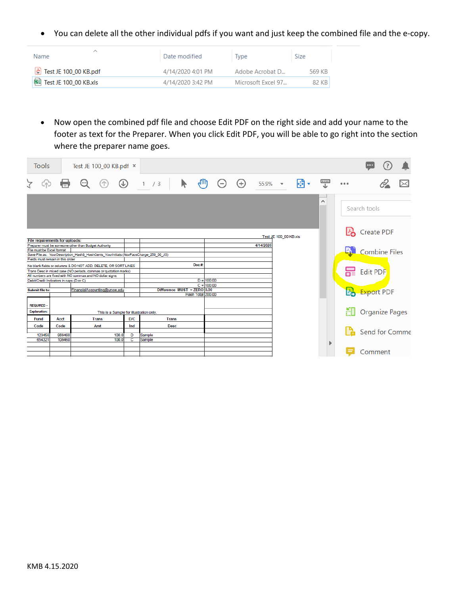You can delete all the other individual pdfs if you want and just keep the combined file and the e‐copy.

| ́<br>Name.                                                     | Date modified     | Type               | <b>Size</b> |
|----------------------------------------------------------------|-------------------|--------------------|-------------|
| $\left\lfloor \frac{1}{n} \right\rfloor$ Test JE 100_00 KB.pdf | 4/14/2020 4:01 PM | Adobe Acrobat D    | 569 KB      |
| 图 Test JE 100_00 KB.xls                                        | 4/14/2020 3:42 PM | Microsoft Excel 97 | 82 KB       |

 Now open the combined pdf file and choose Edit PDF on the right side and add your name to the footer as text for the Preparer. When you click Edit PDF, you will be able to go right into the section where the preparer name goes.

| Tools                                    |        | Test JE 100_00 KB.pdf $\times$                                                                                                                |                                         |               |        |              |                               |                 |       |                   |           |                       |   |          |       |    |                       |  |
|------------------------------------------|--------|-----------------------------------------------------------------------------------------------------------------------------------------------|-----------------------------------------|---------------|--------|--------------|-------------------------------|-----------------|-------|-------------------|-----------|-----------------------|---|----------|-------|----|-----------------------|--|
| $\geq$<br>(4)                            |        | (…)                                                                                                                                           | $(\uparrow)$                            | $\circledast$ | 1 / 3  |              | ┡                             | <sup>4</sup> un | $(-)$ | $\left( +\right)$ | 55.9%     | $\mathbf{v}$          | ቝ | 豐        | 0.0.0 |    |                       |  |
|                                          |        |                                                                                                                                               |                                         |               |        |              |                               |                 |       |                   |           |                       |   | $\wedge$ |       |    | Search tools          |  |
| File requirements for uploads:           |        |                                                                                                                                               |                                         |               |        |              |                               |                 |       |                   |           | Test JE 100 00 KB.xls |   |          |       |    | Create PDF            |  |
| File must be Excel format                |        | Preparer must be someone other than Budget Authority<br>Save File as: YourDescription_Hash\$_HashCents_YourInitials (NovPacsCharge_250_00_JS) |                                         |               |        |              |                               |                 |       |                   | 4/14/2020 |                       |   |          |       | 4. | <b>Combine Files</b>  |  |
| Fields must remain in this order         |        |                                                                                                                                               |                                         |               |        |              | Doc#:                         |                 |       |                   |           |                       |   |          |       |    |                       |  |
|                                          |        | No blank fields or columns & DO NOT ADD, DELETE, OR SORT LINES<br>Trans Desc in mixed case (NO periods, commas or quotation marks)            |                                         |               |        |              |                               |                 |       |                   |           |                       |   |          |       |    | <b>R</b> Edit PDF     |  |
|                                          |        | All numbers are fixed with NO commas and NO dollar signs                                                                                      |                                         |               |        |              |                               |                 |       |                   |           |                       |   |          |       |    |                       |  |
| Debit/Credit Indicators in caps (D or C) |        |                                                                                                                                               |                                         |               |        |              |                               | $D = 100.00$    |       |                   |           |                       |   |          |       |    |                       |  |
|                                          |        |                                                                                                                                               |                                         |               |        |              |                               | $C = 100.00$    |       |                   |           |                       |   |          |       |    |                       |  |
| Submit file to:                          |        | FinancialAccounting@uncw.edu                                                                                                                  |                                         |               |        |              | Difference $MUST = ZERO$ 0.00 |                 |       |                   |           |                       |   |          |       |    | <b>Po</b> Export PDF  |  |
|                                          |        |                                                                                                                                               |                                         |               |        |              | Hash Total 200.00             |                 |       |                   |           |                       |   |          |       |    |                       |  |
| <b>REQUIRED-</b>                         |        |                                                                                                                                               |                                         |               |        |              |                               |                 |       |                   |           |                       |   |          |       |    |                       |  |
| <b>Explanation:</b>                      |        |                                                                                                                                               |                                         |               |        |              |                               |                 |       |                   |           |                       |   |          |       | H  | <b>Organize Pages</b> |  |
|                                          |        |                                                                                                                                               | This is a Sample for illustration only. |               |        |              |                               |                 |       |                   |           |                       |   |          |       |    |                       |  |
| Fund                                     | Acct   | <b>Trans</b>                                                                                                                                  |                                         | D/C           |        | <b>Trans</b> |                               |                 |       |                   |           |                       |   |          |       |    |                       |  |
| Code                                     | Code   | Amt                                                                                                                                           |                                         | Ind           |        | <b>Desc</b>  |                               |                 |       |                   |           |                       |   |          |       |    |                       |  |
| 123456                                   | 988460 |                                                                                                                                               | 100.0                                   | D             | Sample |              |                               |                 |       |                   |           |                       |   |          |       |    | Send for Comme        |  |
| 654321                                   | 108460 |                                                                                                                                               | 100.0                                   | c             | Sample |              |                               |                 |       |                   |           |                       |   |          |       |    |                       |  |
|                                          |        |                                                                                                                                               |                                         |               |        |              |                               |                 |       |                   |           |                       |   |          |       |    |                       |  |
|                                          |        |                                                                                                                                               |                                         |               |        |              |                               |                 |       |                   |           |                       |   |          |       |    | Comment               |  |
|                                          |        |                                                                                                                                               |                                         |               |        |              |                               |                 |       |                   |           |                       |   |          |       |    |                       |  |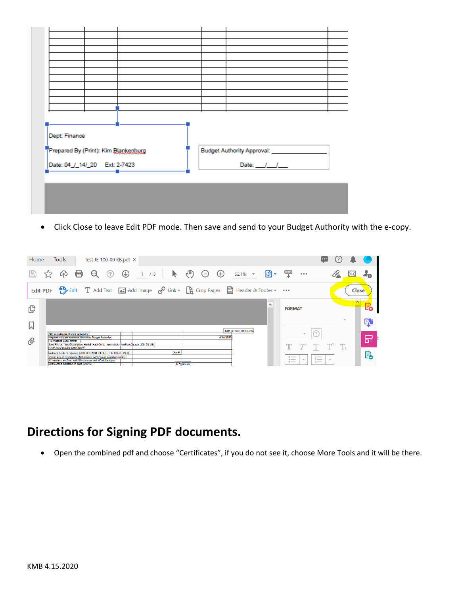| Dept: Finance                        |                                          |
|--------------------------------------|------------------------------------------|
| Prepared By (Print): Kim Blankenburg | Budget Authority Approval: _____________ |
| Date: 04_/_14/_20 Ext: 2-7423        | Date: $1 - 1$                            |
|                                      |                                          |
|                                      |                                          |
|                                      |                                          |
|                                      |                                          |
|                                      |                                          |

● Click Close to leave Edit PDF mode. Then save and send to your Budget Authority with the e-copy.

| Home            | <b>Tools</b>                                                                                           |                                                                                                                                                                                                | Test JE 100_00 KB.pdf × |                                                                          |                      |       |           |                       |          |                                                       |               |                                       |       |              |
|-----------------|--------------------------------------------------------------------------------------------------------|------------------------------------------------------------------------------------------------------------------------------------------------------------------------------------------------|-------------------------|--------------------------------------------------------------------------|----------------------|-------|-----------|-----------------------|----------|-------------------------------------------------------|---------------|---------------------------------------|-------|--------------|
| H               | ርሱጋ                                                                                                    | అ<br>G                                                                                                                                                                                         | $\circledcirc$          | 1 / 3                                                                    | <sup>4</sup> un      | $(-)$ | $^{(+)}$  | 52.1%<br>$\mathbf{v}$ | 開        | 霊                                                     | 0.0.0         | C'I                                   |       |              |
| <b>Edit PDF</b> |                                                                                                        |                                                                                                                                                                                                |                         | Edit T Add Text and Add Image of Link v R Crop Pages B Header & Footer v |                      |       |           |                       |          |                                                       |               |                                       | Close |              |
| ௹               |                                                                                                        |                                                                                                                                                                                                |                         |                                                                          |                      |       |           |                       | $\wedge$ | <b>FORMAT</b>                                         |               |                                       |       |              |
| 口               |                                                                                                        |                                                                                                                                                                                                |                         |                                                                          |                      |       |           | Test JE 100_00 KB.xls |          |                                                       |               |                                       |       | ር.           |
| O               | <b>File requirements for uploads:</b><br>File must be Excel format<br>Fields must remain in this order | Preparer must be someone other than Budget Authority<br>Save File as: YourDescription Hash\$ HashCents YourInitials (NovPacsCharge 250 00 JS)                                                  |                         |                                                                          |                      |       | 4/14/2020 |                       |          |                                                       |               |                                       |       | 品            |
|                 | [Debit/Credit Indicators in caps (D or C)]                                                             | No blank fields or columns & DO NOT ADD. DELETE, OR SORT LINES<br>Trans Desc in mixed case (NO periods, commas or quotation marks)<br>All numbers are fixed with NO commas and NO dollar signs |                         |                                                                          | Doc#<br>$D = 100.00$ |       |           |                       |          | $0 \longrightarrow$<br>$0 \longrightarrow$<br>$0 = 1$ | $\mathcal{L}$ | $-$<br>$2 -$<br>$\mathbf{v}$<br>$3 -$ |       | $\mathbb{R}$ |

### **Directions for Signing PDF documents.**

Open the combined pdf and choose "Certificates", if you do not see it, choose More Tools and it will be there.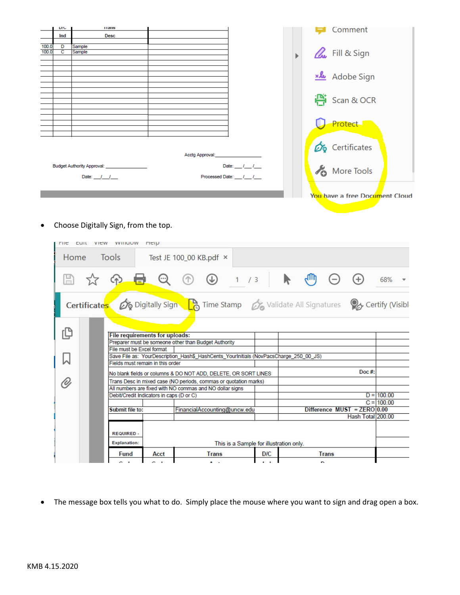|       | <b>UIL</b> | панк                                          |                                       |                    | Comment                        |
|-------|------------|-----------------------------------------------|---------------------------------------|--------------------|--------------------------------|
|       | Ind        | <b>Desc</b>                                   |                                       |                    |                                |
| 100.0 | D          | Sample                                        |                                       |                    |                                |
| 100.0 | c          | Sample                                        |                                       |                    | <b>L</b> Fill & Sign           |
|       |            |                                               |                                       |                    |                                |
|       |            |                                               |                                       |                    |                                |
|       |            |                                               |                                       |                    |                                |
|       |            |                                               |                                       |                    | xle Adobe Sign                 |
|       |            |                                               |                                       |                    |                                |
|       |            |                                               |                                       |                    |                                |
|       |            |                                               |                                       |                    | escan & OCR                    |
|       |            |                                               |                                       |                    |                                |
|       |            |                                               |                                       |                    |                                |
|       |            |                                               |                                       |                    | Protect                        |
|       |            |                                               |                                       |                    |                                |
|       |            |                                               |                                       |                    |                                |
|       |            |                                               |                                       |                    | Certificates                   |
|       |            |                                               | Acctg Approval: <b>Acctg Approval</b> |                    |                                |
|       |            |                                               |                                       |                    |                                |
|       |            | Budget Authority Approval: __________________ |                                       | Date: $1/1$        | More Tools                     |
|       |            | Date: $1 - 1$                                 |                                       | Processed Date: 11 |                                |
|       |            |                                               |                                       |                    |                                |
|       |            |                                               |                                       |                    |                                |
|       |            |                                               |                                       |                    | You have a free Document Cloud |
|       |            |                                               |                                       |                    |                                |
|       |            |                                               |                                       |                    |                                |

Choose Digitally Sign, from the top.

| <b>THE</b><br>cuit | VIEW WILLOW HEID                                                                                |                                                                                       |            |                               |                   |                              |  |  |  |  |  |  |
|--------------------|-------------------------------------------------------------------------------------------------|---------------------------------------------------------------------------------------|------------|-------------------------------|-------------------|------------------------------|--|--|--|--|--|--|
| Home               | Tools                                                                                           | Test JE 100_00 KB.pdf ×                                                               |            |                               |                   |                              |  |  |  |  |  |  |
|                    | ርተጋ                                                                                             |                                                                                       |            |                               |                   | 68%                          |  |  |  |  |  |  |
|                    | Digitally Sign B Time Stamp 6 Validate All Signatures 8 Certify (Visible<br><b>Certificates</b> |                                                                                       |            |                               |                   |                              |  |  |  |  |  |  |
|                    | <b>File requirements for uploads:</b>                                                           |                                                                                       |            |                               |                   |                              |  |  |  |  |  |  |
|                    | File must be Excel format                                                                       | Preparer must be someone other than Budget Authority                                  |            |                               |                   |                              |  |  |  |  |  |  |
|                    |                                                                                                 | Save File as: YourDescription_Hash\$_HashCents_YourInitials (NovPacsCharge_250_00_JS) |            |                               |                   |                              |  |  |  |  |  |  |
|                    | Fields must remain in this order                                                                |                                                                                       |            |                               |                   |                              |  |  |  |  |  |  |
|                    |                                                                                                 | No blank fields or columns & DO NOT ADD, DELETE, OR SORT LINES                        |            |                               | $Doc$ #:          |                              |  |  |  |  |  |  |
|                    |                                                                                                 | Trans Desc in mixed case (NO periods, commas or quotation marks)                      |            |                               |                   |                              |  |  |  |  |  |  |
|                    |                                                                                                 | All numbers are fixed with NO commas and NO dollar signs                              |            |                               |                   |                              |  |  |  |  |  |  |
|                    | Debit/Credit Indicators in caps (D or C)                                                        |                                                                                       |            |                               |                   | $D = 100.00$<br>$C = 100.00$ |  |  |  |  |  |  |
|                    | Submit file to:                                                                                 | FinancialAccounting@uncw.edu                                                          |            | Difference $MUST = ZERO 0.00$ |                   |                              |  |  |  |  |  |  |
|                    |                                                                                                 |                                                                                       |            |                               | Hash Total 200.00 |                              |  |  |  |  |  |  |
|                    | <b>REQUIRED -</b><br><b>Explanation:</b><br>This is a Sample for illustration only.             |                                                                                       |            |                               |                   |                              |  |  |  |  |  |  |
|                    | <b>Fund</b><br>Acct                                                                             | <b>Trans</b>                                                                          | <b>D/C</b> | <b>Trans</b>                  |                   |                              |  |  |  |  |  |  |
|                    |                                                                                                 | $\sim$                                                                                |            | <b>D</b>                      |                   |                              |  |  |  |  |  |  |

The message box tells you what to do. Simply place the mouse where you want to sign and drag open a box.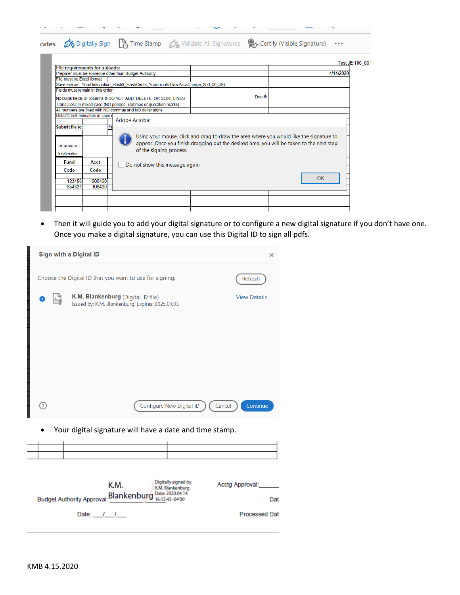|                                                            |                                                                                       |                                                                                                                                                                                      | Test JE 100 00 |
|------------------------------------------------------------|---------------------------------------------------------------------------------------|--------------------------------------------------------------------------------------------------------------------------------------------------------------------------------------|----------------|
| <b>File requirements for uploads:</b>                      |                                                                                       |                                                                                                                                                                                      |                |
| Preparer must be someone other than Budget Authority       |                                                                                       |                                                                                                                                                                                      | 4/14/2020      |
| File must be Excel format                                  |                                                                                       |                                                                                                                                                                                      |                |
|                                                            | Save File as: YourDescription Hash\$ HashCents YourInitials (NovPacsCharge 250 00 JS) |                                                                                                                                                                                      |                |
| Fields must remain in this order                           |                                                                                       |                                                                                                                                                                                      |                |
|                                                            | No blank fields or columns & DO NOT ADD, DELETE, OR SORT LINES                        | Doc $#$ :                                                                                                                                                                            |                |
|                                                            | Trans Desc in mixed case (NO periods, commas or quotation marks)                      |                                                                                                                                                                                      |                |
| All numbers are fixed with NO commas and NO dollar signs   |                                                                                       |                                                                                                                                                                                      |                |
| Submit file to:<br><b>REQUIRED-</b><br><b>Explanation:</b> | of the signing process.<br>Do not show this message again                             | Using your mouse, click and drag to draw the area where you would like the signature to<br>appear. Once you finish dragging out the desired area, you will be taken to the next step |                |

 Then it will guide you to add your digital signature or to configure a new digital signature if you don't have one. Once you make a digital signature, you can use this Digital ID to sign all pdfs.

| Sign with a Digital ID<br>×                                        |                                                                                                               |          |  |  |  |
|--------------------------------------------------------------------|---------------------------------------------------------------------------------------------------------------|----------|--|--|--|
| Choose the Digital ID that you want to use for signing:<br>Refresh |                                                                                                               |          |  |  |  |
|                                                                    | K.M. Blankenburg (Digital ID file)<br><b>View Details</b><br>Issued by: K.M. Blankenburg, Expires: 2025.04.03 |          |  |  |  |
|                                                                    |                                                                                                               |          |  |  |  |
|                                                                    |                                                                                                               |          |  |  |  |
|                                                                    |                                                                                                               |          |  |  |  |
| ⊙)                                                                 | Configure New Digital ID<br>Cancel                                                                            | Continue |  |  |  |
| Your digital signature will have a date and time stamp.            |                                                                                                               |          |  |  |  |
|                                                                    |                                                                                                               |          |  |  |  |
|                                                                    |                                                                                                               |          |  |  |  |
|                                                                    | Digitally signed by<br>Acctg Approval:<br>K.M.<br>K.M. Blankenburg                                            |          |  |  |  |

| IN.IVI.<br>Budget Authority Approval: <b>Blankenburg</b> Date: 2020.04.14 | K.M. Blankenburg | $\sim$<br>Dat        |
|---------------------------------------------------------------------------|------------------|----------------------|
| Date: / /                                                                 |                  | <b>Processed Dat</b> |